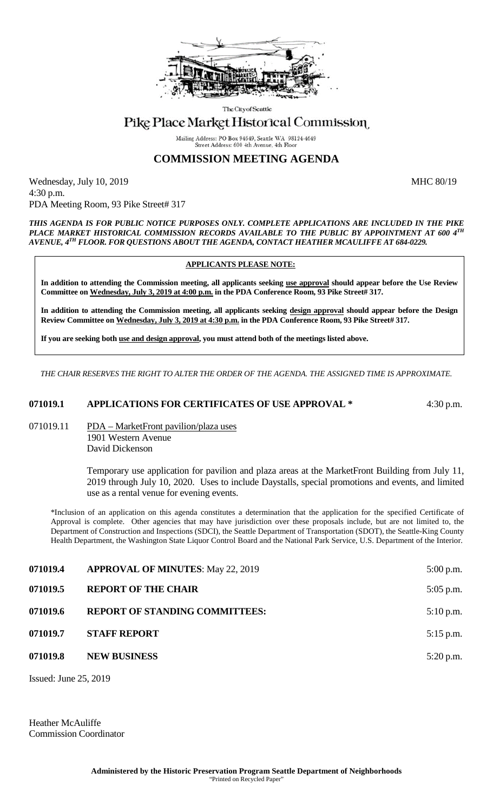

The City of Seattle

## Pike Place Market Historical Commission

Mailing Address: PO Box 94649, Seattle WA 98124-4649 Street Address: 600 4th Avenue, 4th Floo

## **COMMISSION MEETING AGENDA**

Wednesday, July 10, 2019 MHC 80/19 4:30 p.m. PDA Meeting Room, 93 Pike Street# 317

*THIS AGENDA IS FOR PUBLIC NOTICE PURPOSES ONLY. COMPLETE APPLICATIONS ARE INCLUDED IN THE PIKE PLACE MARKET HISTORICAL COMMISSION RECORDS AVAILABLE TO THE PUBLIC BY APPOINTMENT AT 600 4TH AVENUE, 4TH FLOOR. FOR QUESTIONS ABOUT THE AGENDA, CONTACT HEATHER MCAULIFFE AT 684-0229.*

## **APPLICANTS PLEASE NOTE:**

**In addition to attending the Commission meeting, all applicants seeking use approval should appear before the Use Review Committee on Wednesday, July 3, 2019 at 4:00 p.m. in the PDA Conference Room, 93 Pike Street# 317.**

**In addition to attending the Commission meeting, all applicants seeking design approval should appear before the Design Review Committee on Wednesday, July 3, 2019 at 4:30 p.m. in the PDA Conference Room, 93 Pike Street# 317.** 

**If you are seeking both use and design approval, you must attend both of the meetings listed above.**

*THE CHAIR RESERVES THE RIGHT TO ALTER THE ORDER OF THE AGENDA. THE ASSIGNED TIME IS APPROXIMATE.*

## **071019.1 APPLICATIONS FOR CERTIFICATES OF USE APPROVAL \*** 4:30 p.m.

071019.11 PDA – MarketFront pavilion/plaza uses 1901 Western Avenue David Dickenson

> Temporary use application for pavilion and plaza areas at the MarketFront Building from July 11, 2019 through July 10, 2020. Uses to include Daystalls, special promotions and events, and limited use as a rental venue for evening events.

\*Inclusion of an application on this agenda constitutes a determination that the application for the specified Certificate of Approval is complete. Other agencies that may have jurisdiction over these proposals include, but are not limited to, the Department of Construction and Inspections (SDCI), the Seattle Department of Transportation (SDOT), the Seattle-King County Health Department, the Washington State Liquor Control Board and the National Park Service, U.S. Department of the Interior.

| 071019.4 | <b>APPROVAL OF MINUTES: May 22, 2019</b> | $5:00$ p.m. |
|----------|------------------------------------------|-------------|
| 071019.5 | <b>REPORT OF THE CHAIR</b>               | $5:05$ p.m. |
| 071019.6 | <b>REPORT OF STANDING COMMITTEES:</b>    | $5:10$ p.m. |
| 071019.7 | <b>STAFF REPORT</b>                      | $5:15$ p.m. |
| 071019.8 | <b>NEW BUSINESS</b>                      | $5:20$ p.m. |
|          |                                          |             |

Issued: June 25, 2019

Heather McAuliffe Commission Coordinator